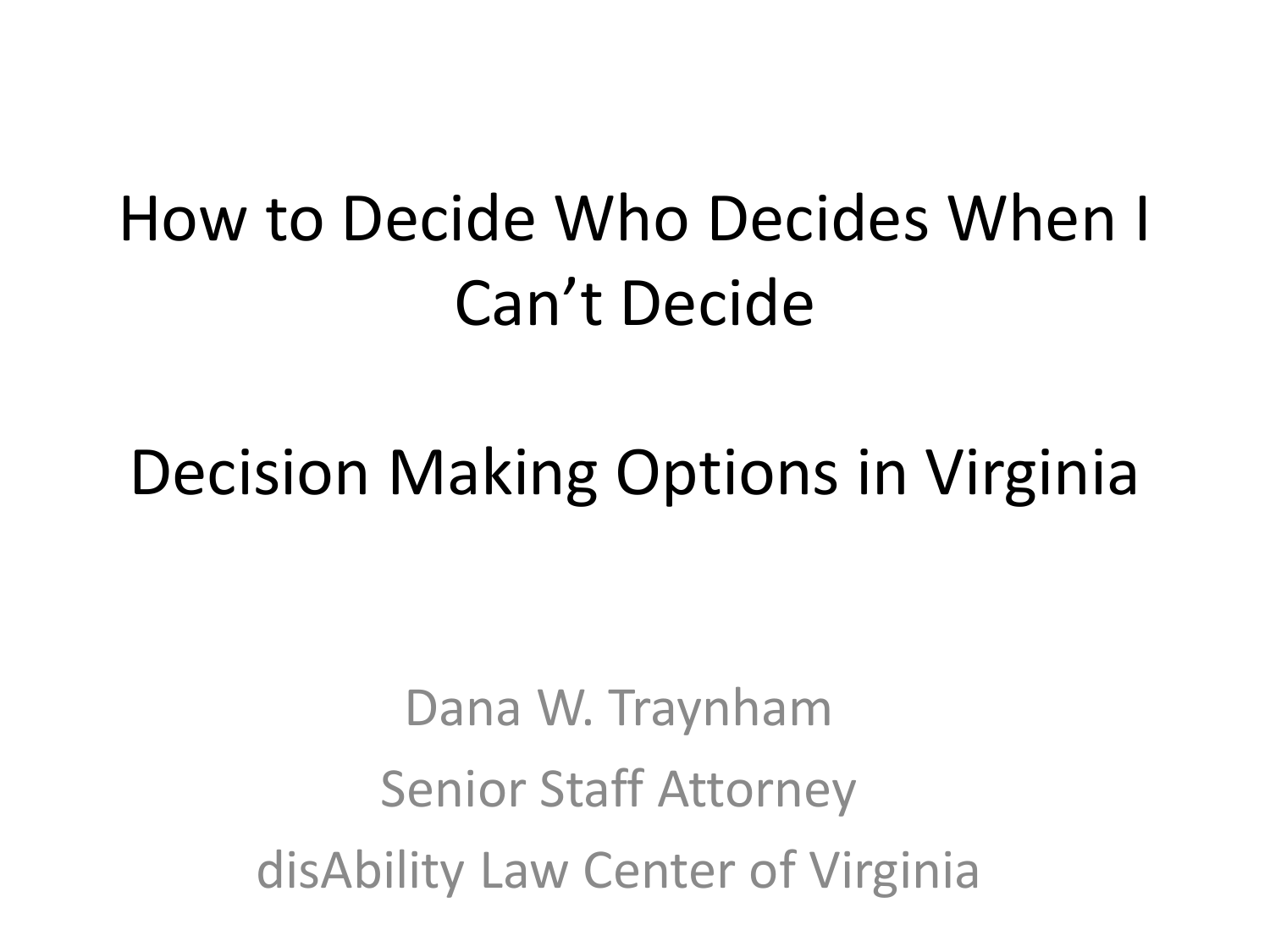#### How to Decide Who Decides When I Can't Decide

#### Decision Making Options in Virginia

Dana W. Traynham Senior Staff Attorney disAbility Law Center of Virginia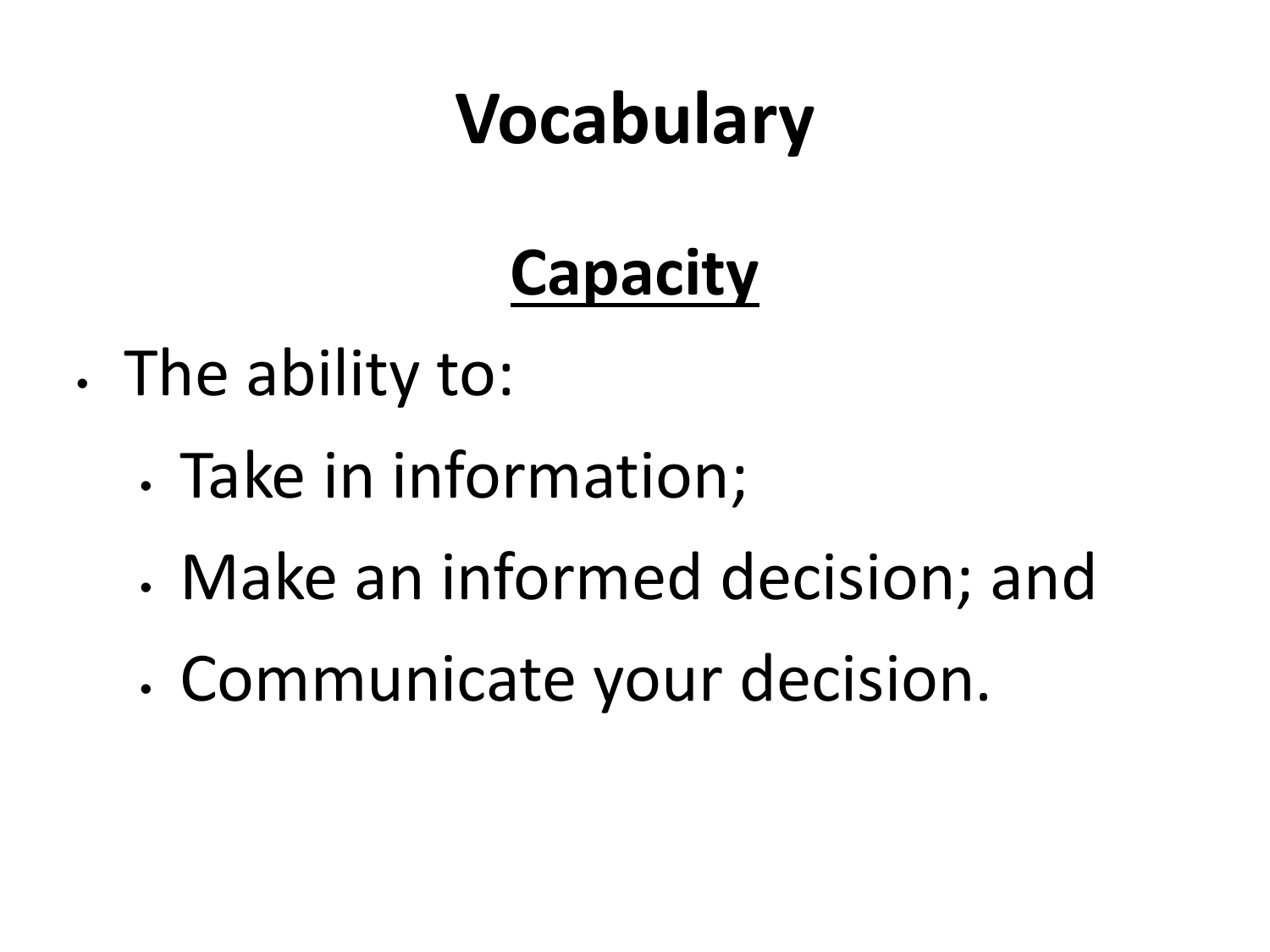#### **Capacity**

- The ability to:
	- Take in information;
	- Make an informed decision; and
	- Communicate your decision.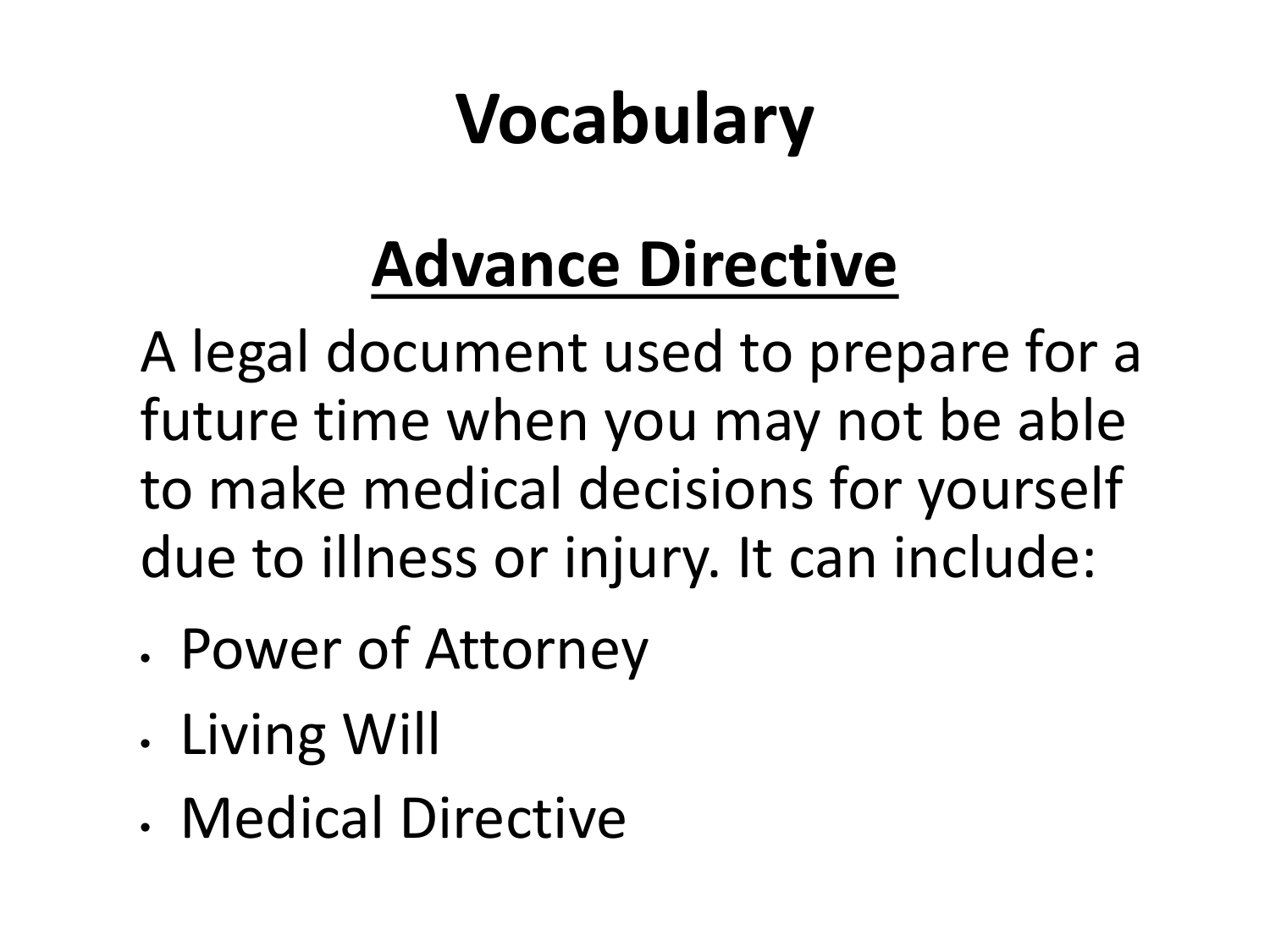#### **Advance Directive**

A legal document used to prepare for a future time when you may not be able to make medical decisions for yourself due to illness or injury. It can include:

- Power of Attorney
- Living Will
- Medical Directive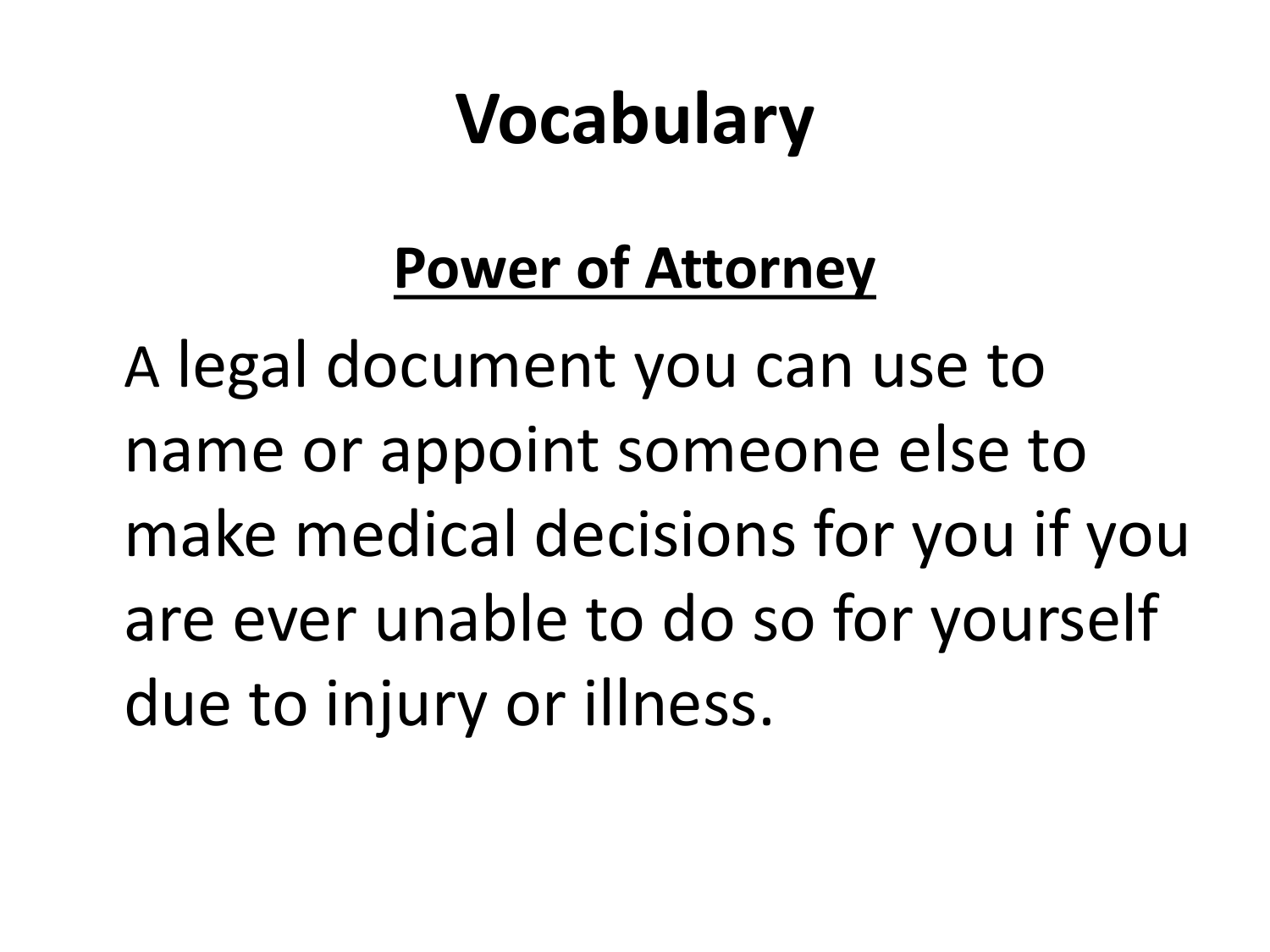#### **Power of Attorney**

A legal document you can use to name or appoint someone else to make medical decisions for you if you are ever unable to do so for yourself due to injury or illness.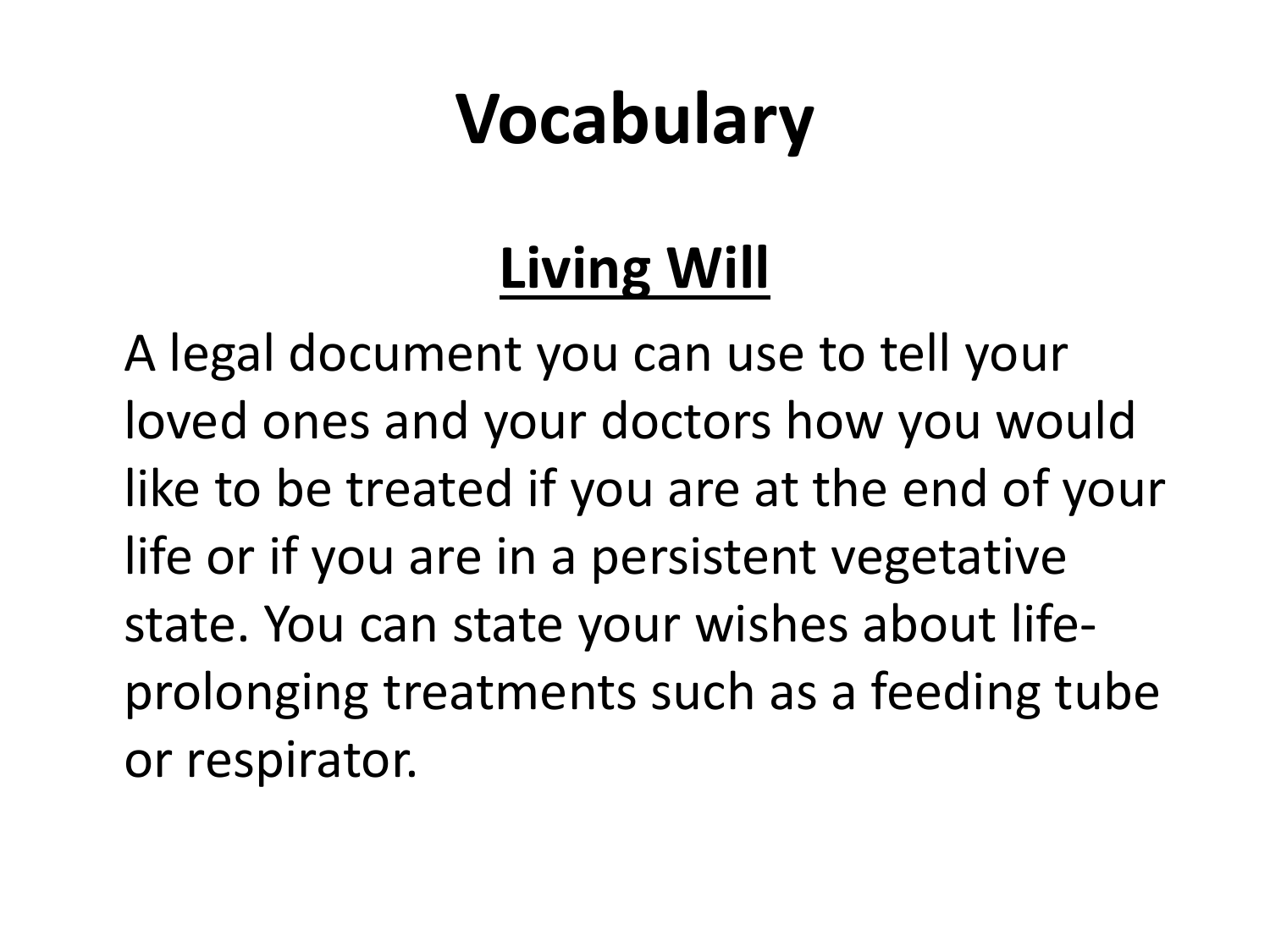#### **Living Will**

A legal document you can use to tell your loved ones and your doctors how you would like to be treated if you are at the end of your life or if you are in a persistent vegetative state. You can state your wishes about lifeprolonging treatments such as a feeding tube or respirator.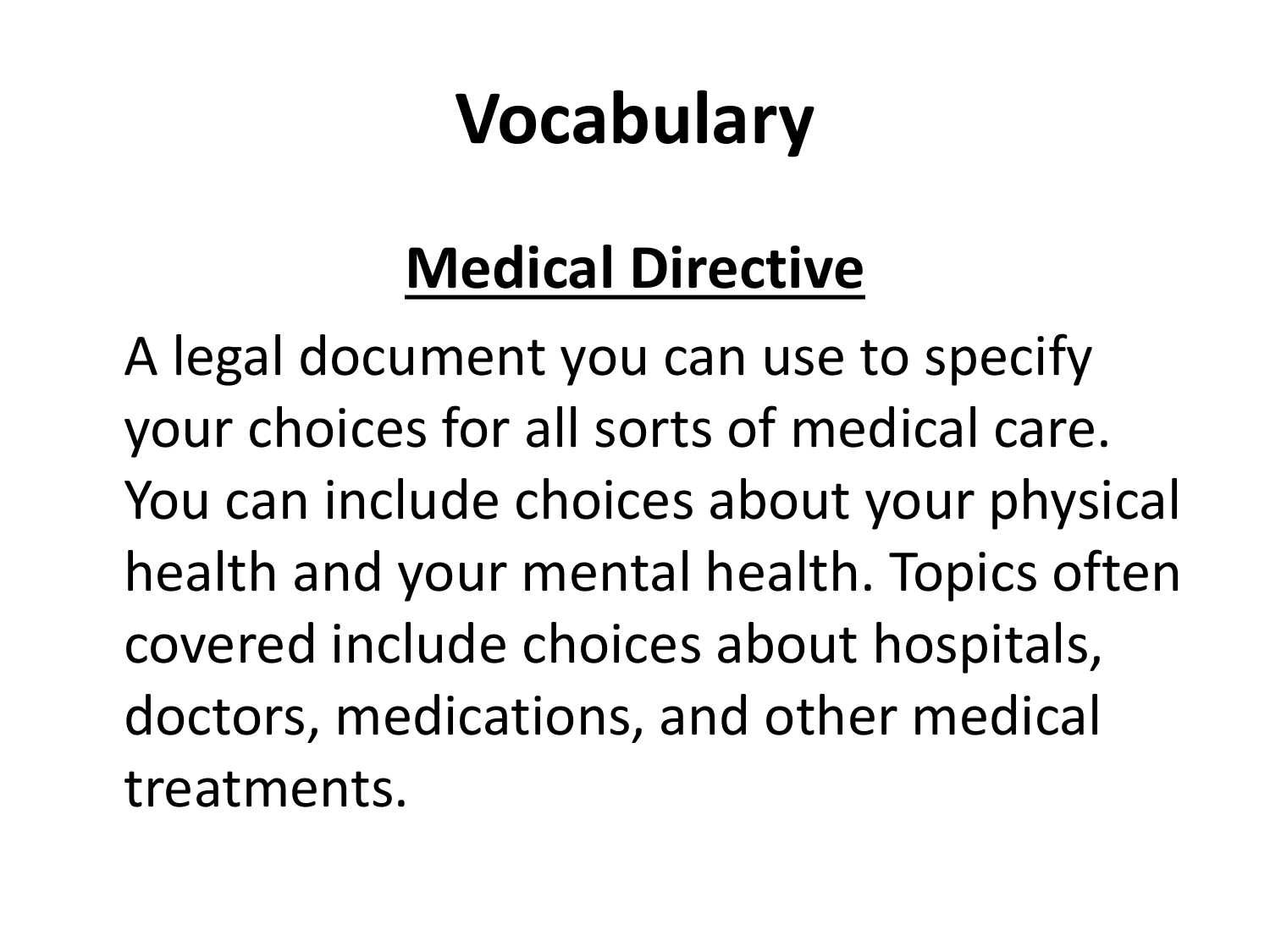#### **Medical Directive**

A legal document you can use to specify your choices for all sorts of medical care. You can include choices about your physical health and your mental health. Topics often covered include choices about hospitals, doctors, medications, and other medical treatments.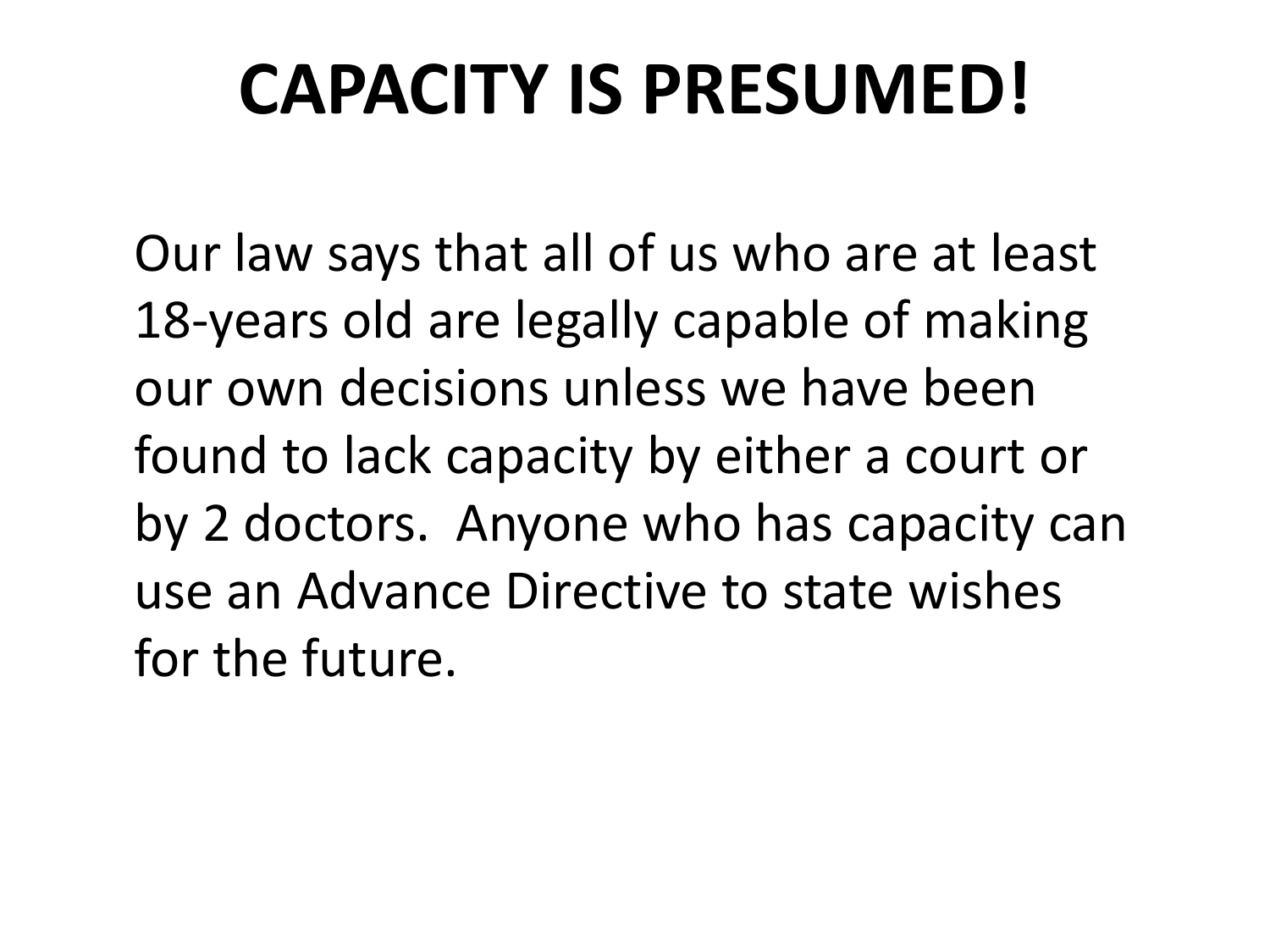#### **CAPACITY IS PRESUMED!**

Our law says that all of us who are at least 18-years old are legally capable of making our own decisions unless we have been found to lack capacity by either a court or by 2 doctors. Anyone who has capacity can use an Advance Directive to state wishes for the future.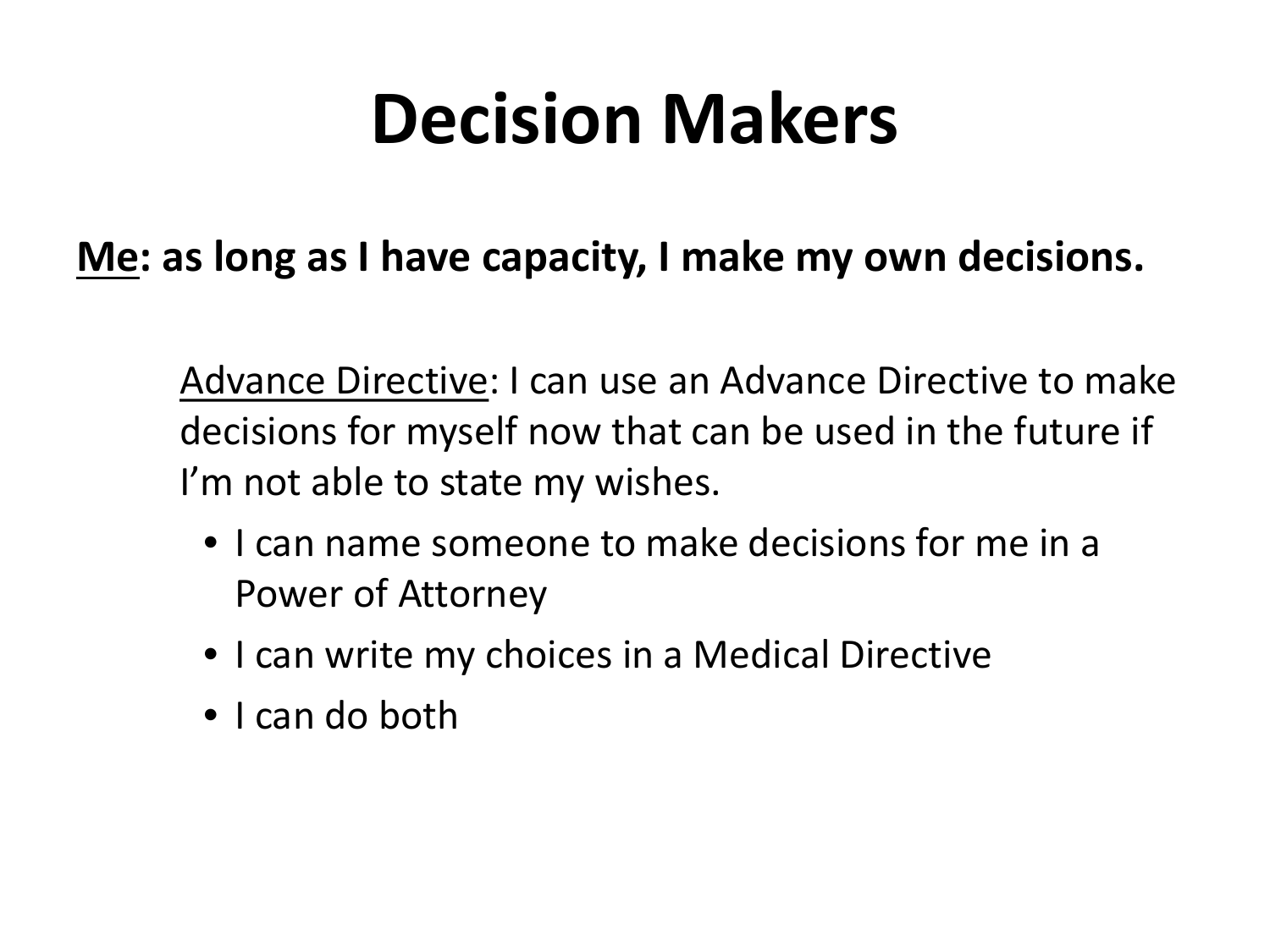#### **Me: as long as I have capacity, I make my own decisions.**

Advance Directive: I can use an Advance Directive to make decisions for myself now that can be used in the future if I'm not able to state my wishes.

- I can name someone to make decisions for me in a Power of Attorney
- I can write my choices in a Medical Directive
- I can do both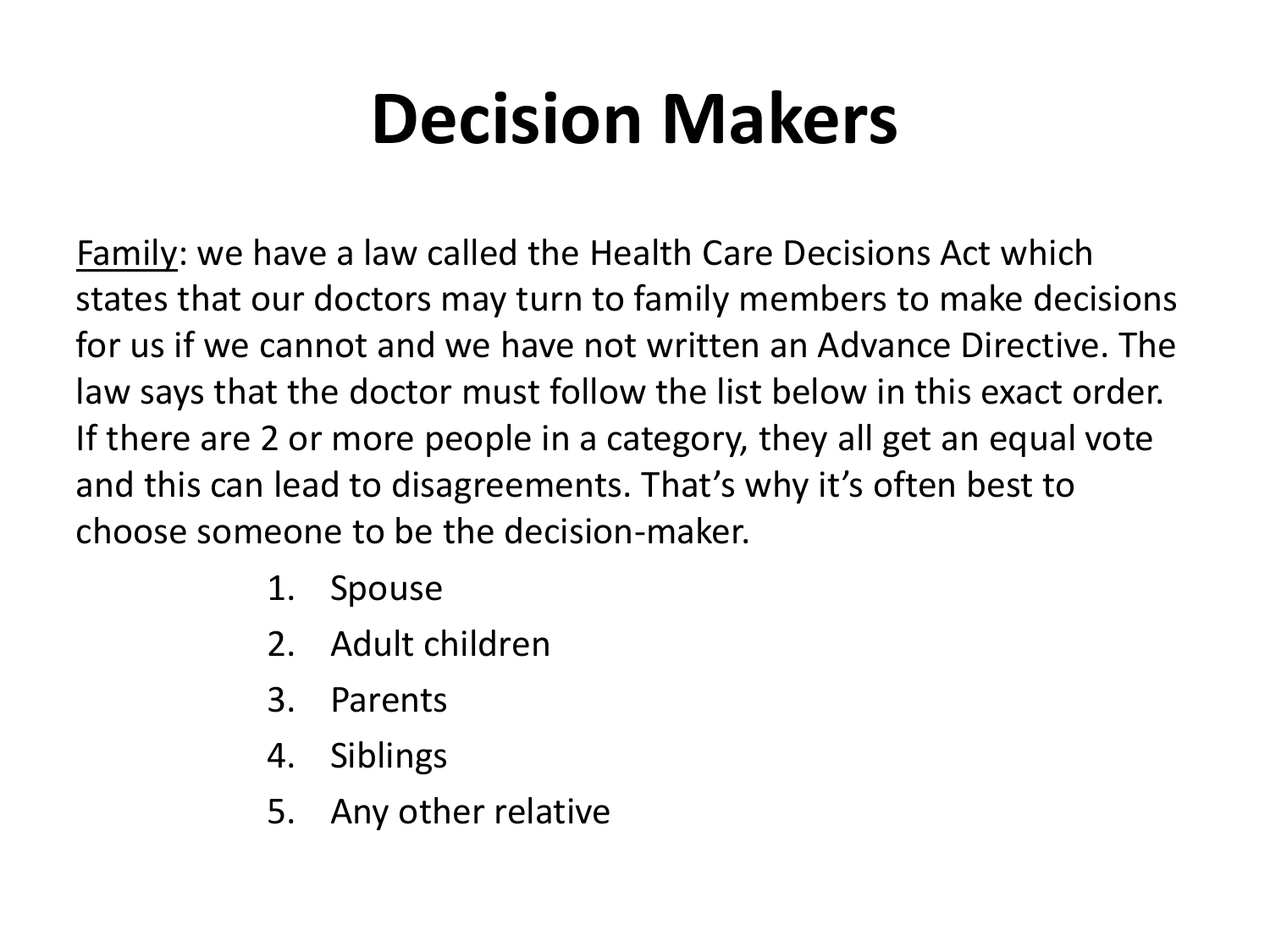Family: we have a law called the Health Care Decisions Act which states that our doctors may turn to family members to make decisions for us if we cannot and we have not written an Advance Directive. The law says that the doctor must follow the list below in this exact order. If there are 2 or more people in a category, they all get an equal vote and this can lead to disagreements. That's why it's often best to choose someone to be the decision-maker.

- 1. Spouse
- 2. Adult children
- 3. Parents
- 4. Siblings
- 5. Any other relative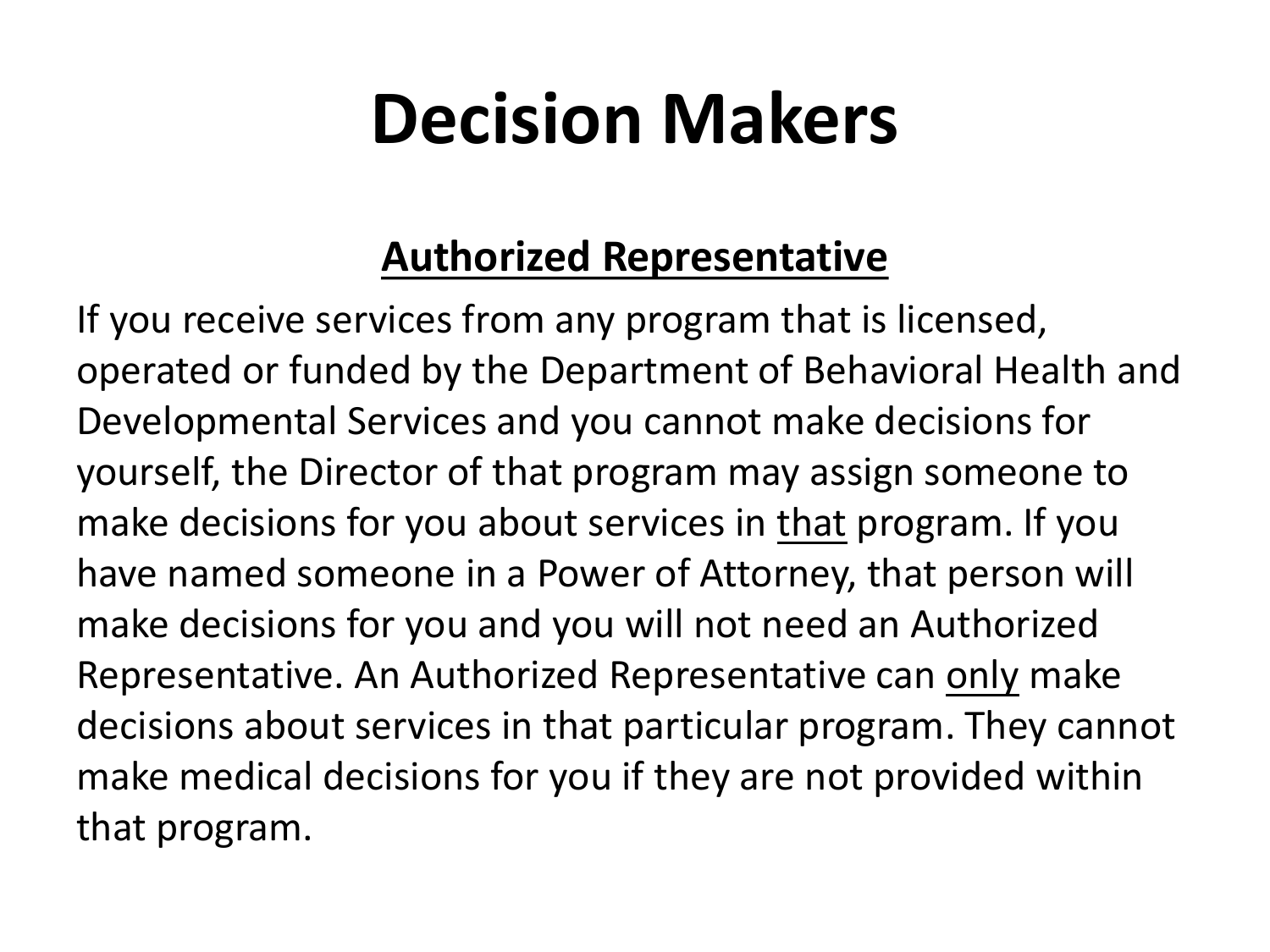#### **Authorized Representative**

If you receive services from any program that is licensed, operated or funded by the Department of Behavioral Health and Developmental Services and you cannot make decisions for yourself, the Director of that program may assign someone to make decisions for you about services in that program. If you have named someone in a Power of Attorney, that person will make decisions for you and you will not need an Authorized Representative. An Authorized Representative can only make decisions about services in that particular program. They cannot make medical decisions for you if they are not provided within that program.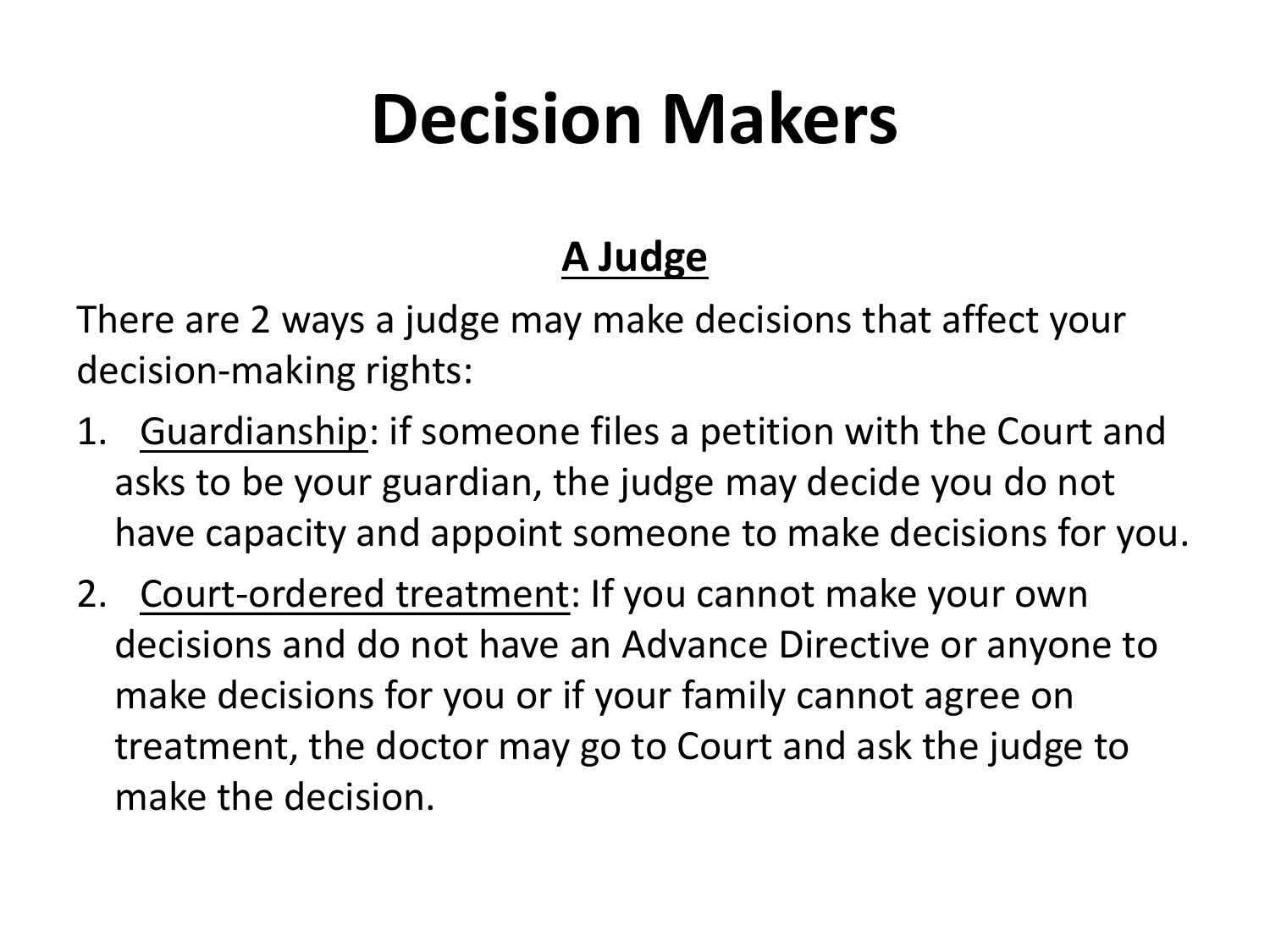#### **A Judge**

There are 2 ways a judge may make decisions that affect your decision-making rights:

- 1. Guardianship: if someone files a petition with the Court and asks to be your guardian, the judge may decide you do not have capacity and appoint someone to make decisions for you.
- 2. Court-ordered treatment: If you cannot make your own decisions and do not have an Advance Directive or anyone to make decisions for you or if your family cannot agree on treatment, the doctor may go to Court and ask the judge to make the decision.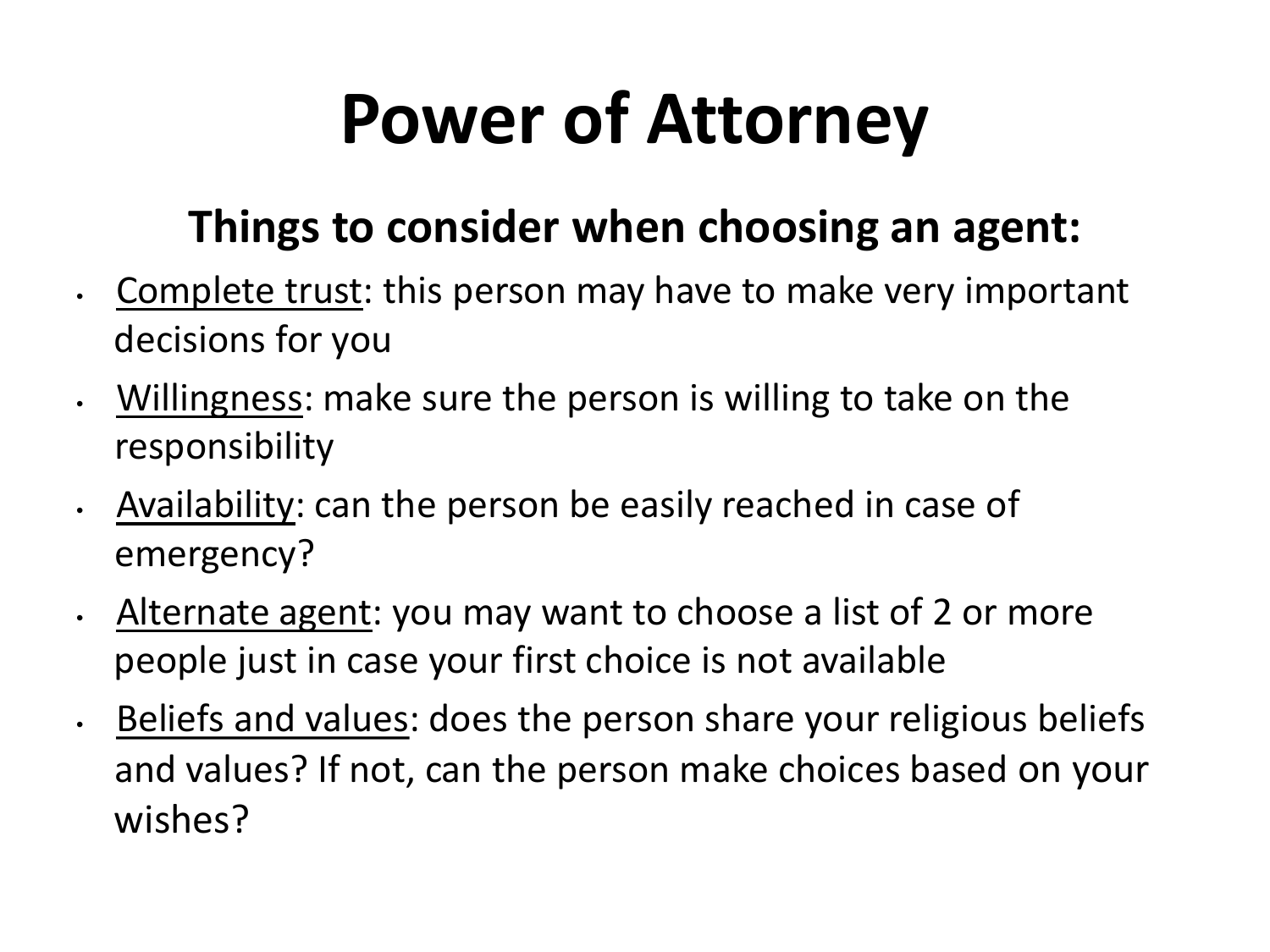## **Power of Attorney**

#### **Things to consider when choosing an agent:**

- Complete trust: this person may have to make very important decisions for you
- Willingness: make sure the person is willing to take on the responsibility
- Availability: can the person be easily reached in case of emergency?
- Alternate agent: you may want to choose a list of 2 or more people just in case your first choice is not available
- Beliefs and values: does the person share your religious beliefs and values? If not, can the person make choices based on your wishes?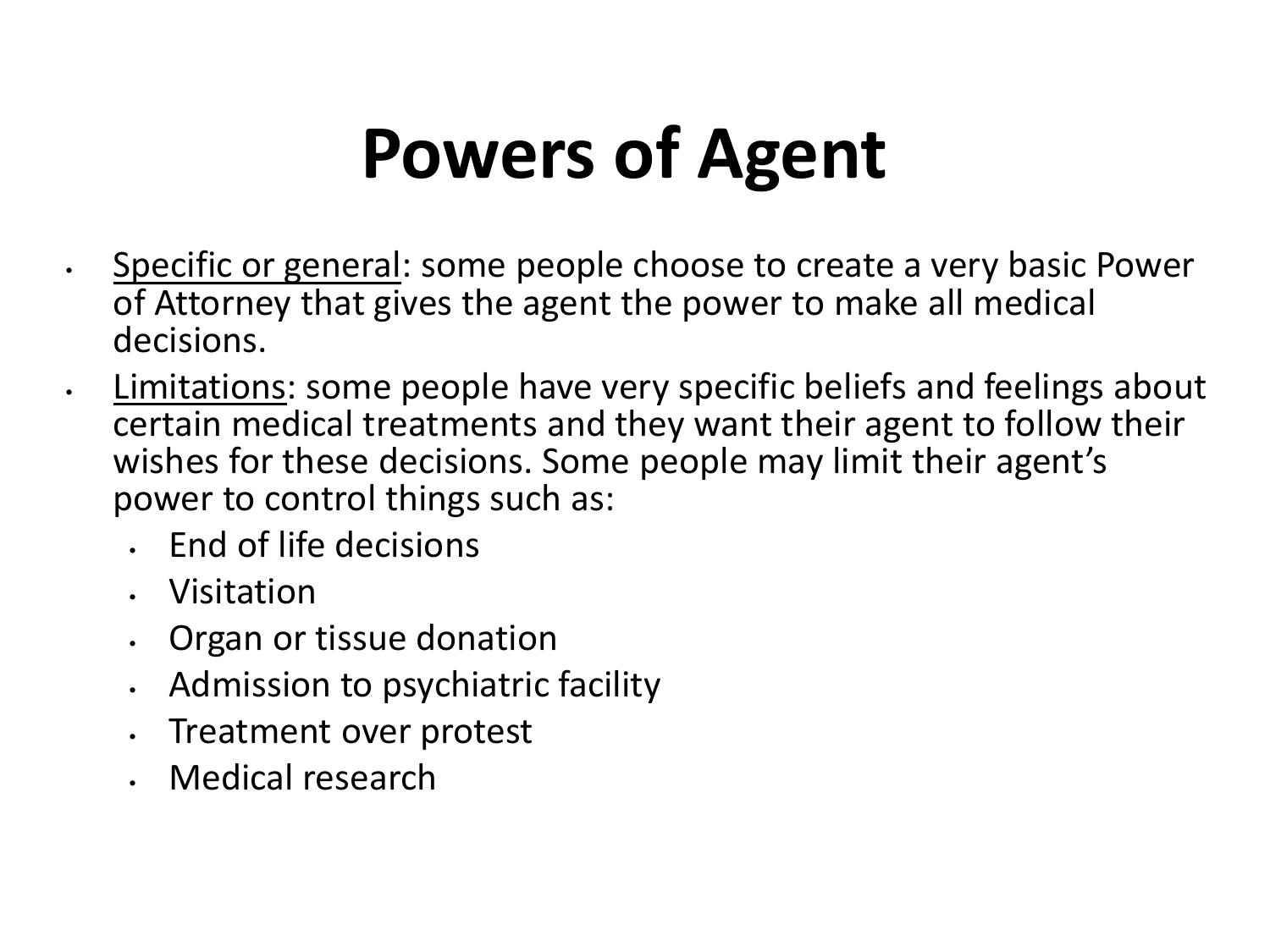#### **Powers of Agent**

- Specific or general: some people choose to create a very basic Power of Attorney that gives the agent the power to make all medical decisions.
- Limitations: some people have very specific beliefs and feelings about certain medical treatments and they want their agent to follow their wishes for these decisions. Some people may limit their agent's power to control things such as:
	- End of life decisions
	- Visitation
	- Organ or tissue donation
	- Admission to psychiatric facility
	- Treatment over protest
	- Medical research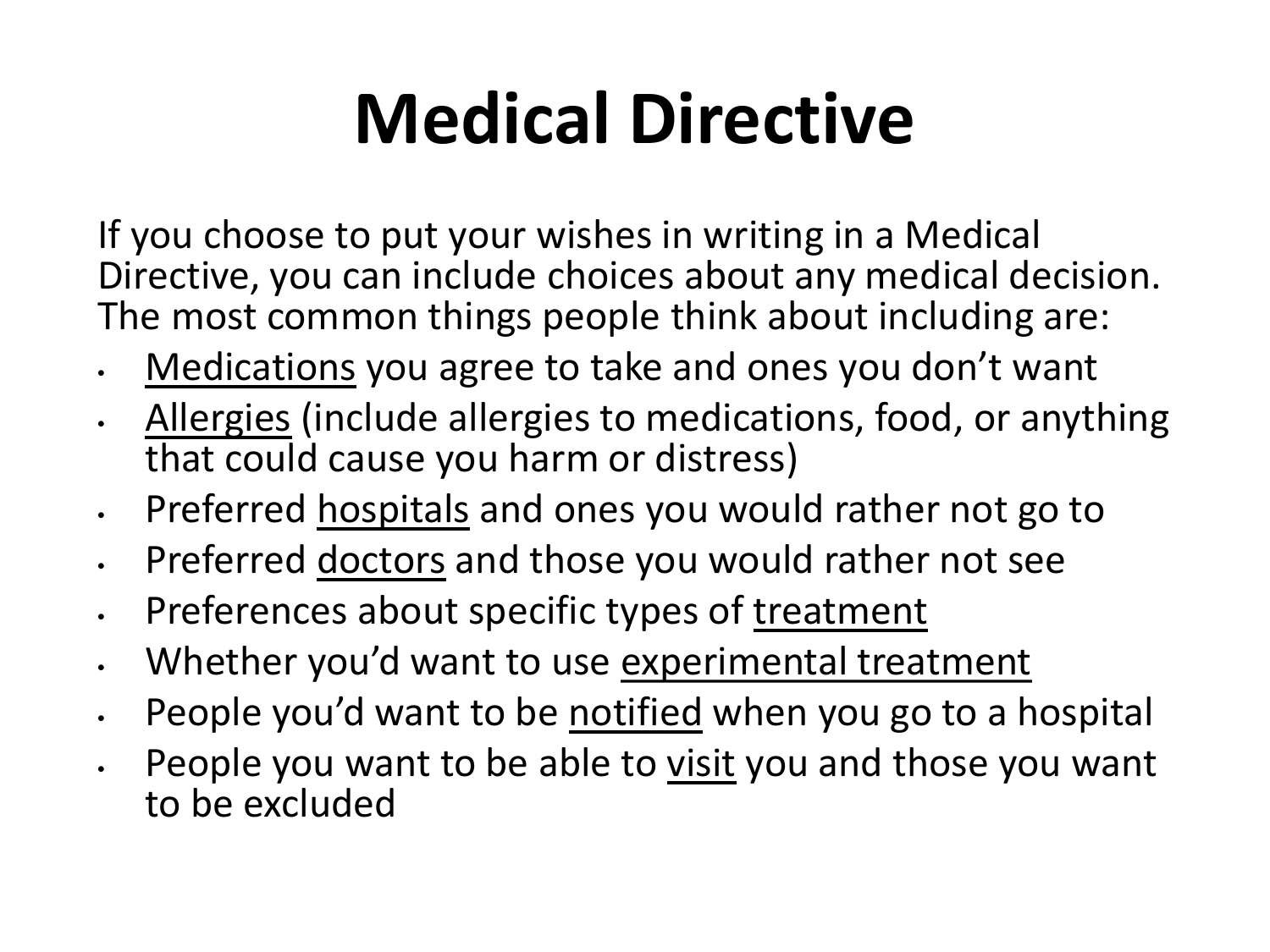## **Medical Directive**

If you choose to put your wishes in writing in a Medical Directive, you can include choices about any medical decision. The most common things people think about including are:

- Medications you agree to take and ones you don't want
- Allergies (include allergies to medications, food, or anything that could cause you harm or distress)
- Preferred hospitals and ones you would rather not go to
- Preferred doctors and those you would rather not see
- Preferences about specific types of treatment
- Whether you'd want to use experimental treatment
- People you'd want to be notified when you go to a hospital
- People you want to be able to visit you and those you want to be excluded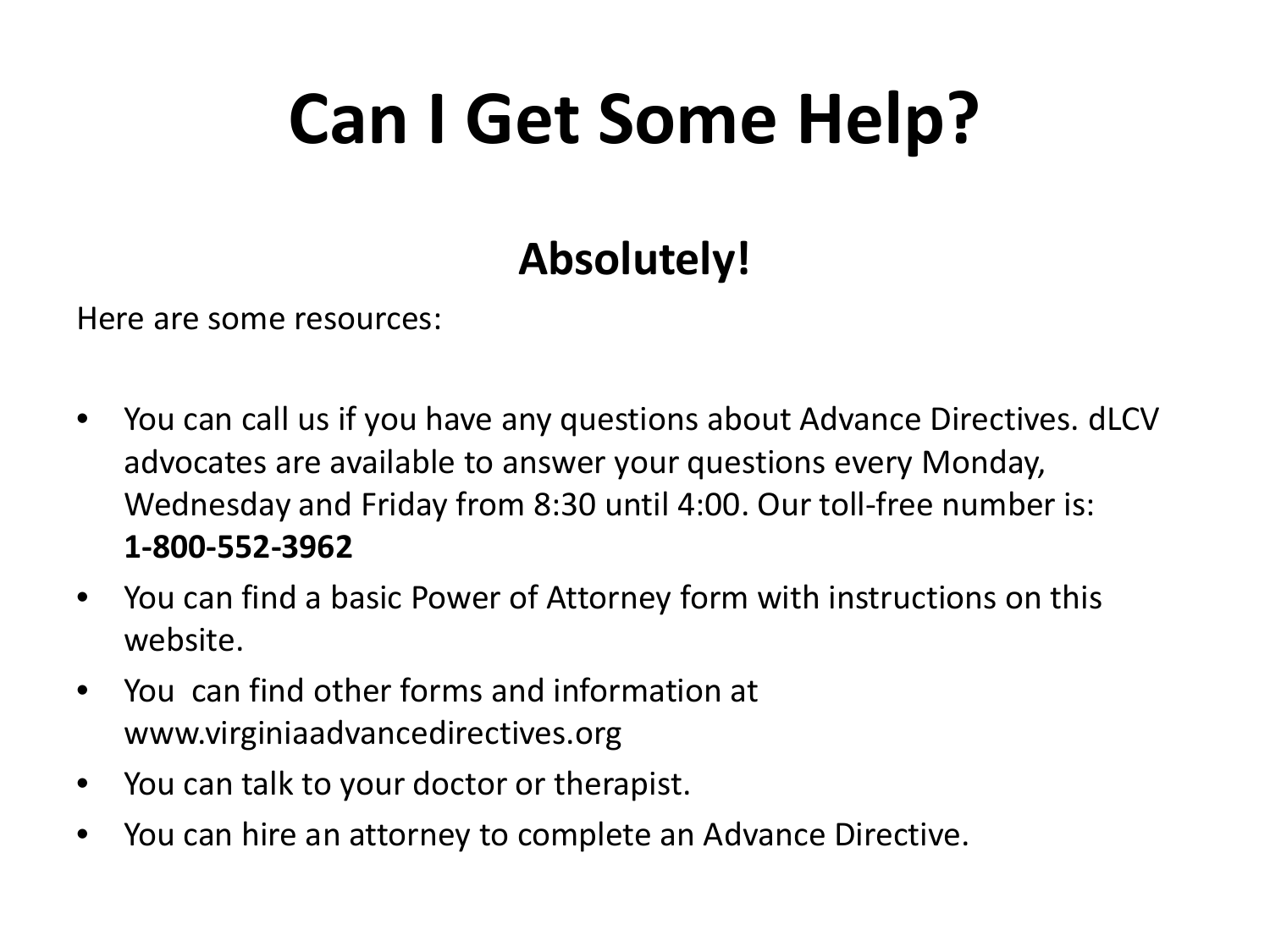## **Can I Get Some Help?**

#### **Absolutely!**

Here are some resources:

- You can call us if you have any questions about Advance Directives. dLCV advocates are available to answer your questions every Monday, Wednesday and Friday from 8:30 until 4:00. Our toll-free number is: **1-800-552-3962**
- You can find a basic Power of Attorney form with instructions on this website.
- You can find other forms and information at www.virginiaadvancedirectives.org
- You can talk to your doctor or therapist.
- You can hire an attorney to complete an Advance Directive.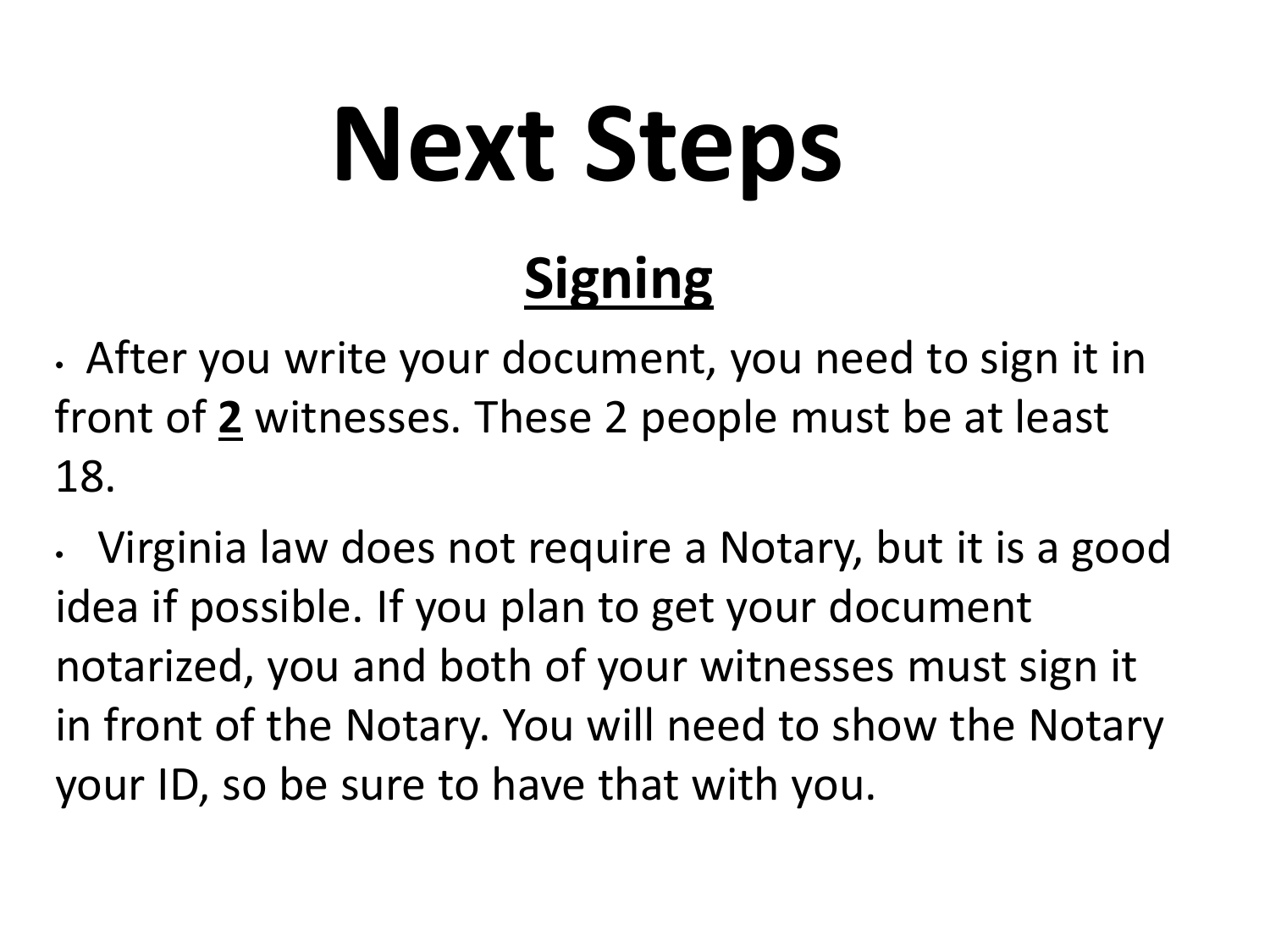# **Next Steps**

• After you write your document, you need to sign it in front of **2** witnesses. These 2 people must be at least 18.

**Signing**

• Virginia law does not require a Notary, but it is a good idea if possible. If you plan to get your document notarized, you and both of your witnesses must sign it in front of the Notary. You will need to show the Notary your ID, so be sure to have that with you.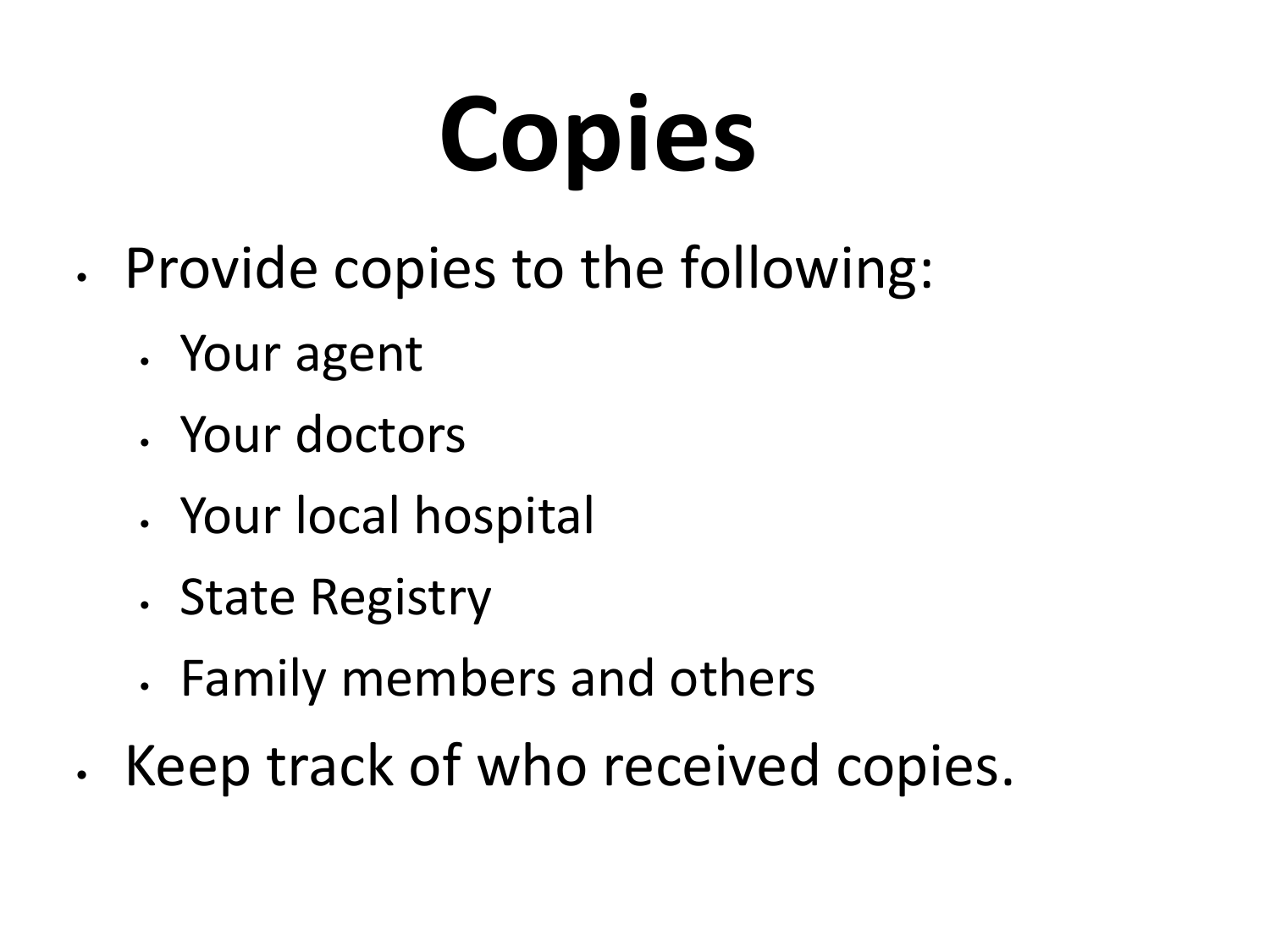## **Copies**

- Provide copies to the following:
	- Your agent
	- Your doctors
	- Your local hospital
	- State Registry
	- Family members and others
- Keep track of who received copies.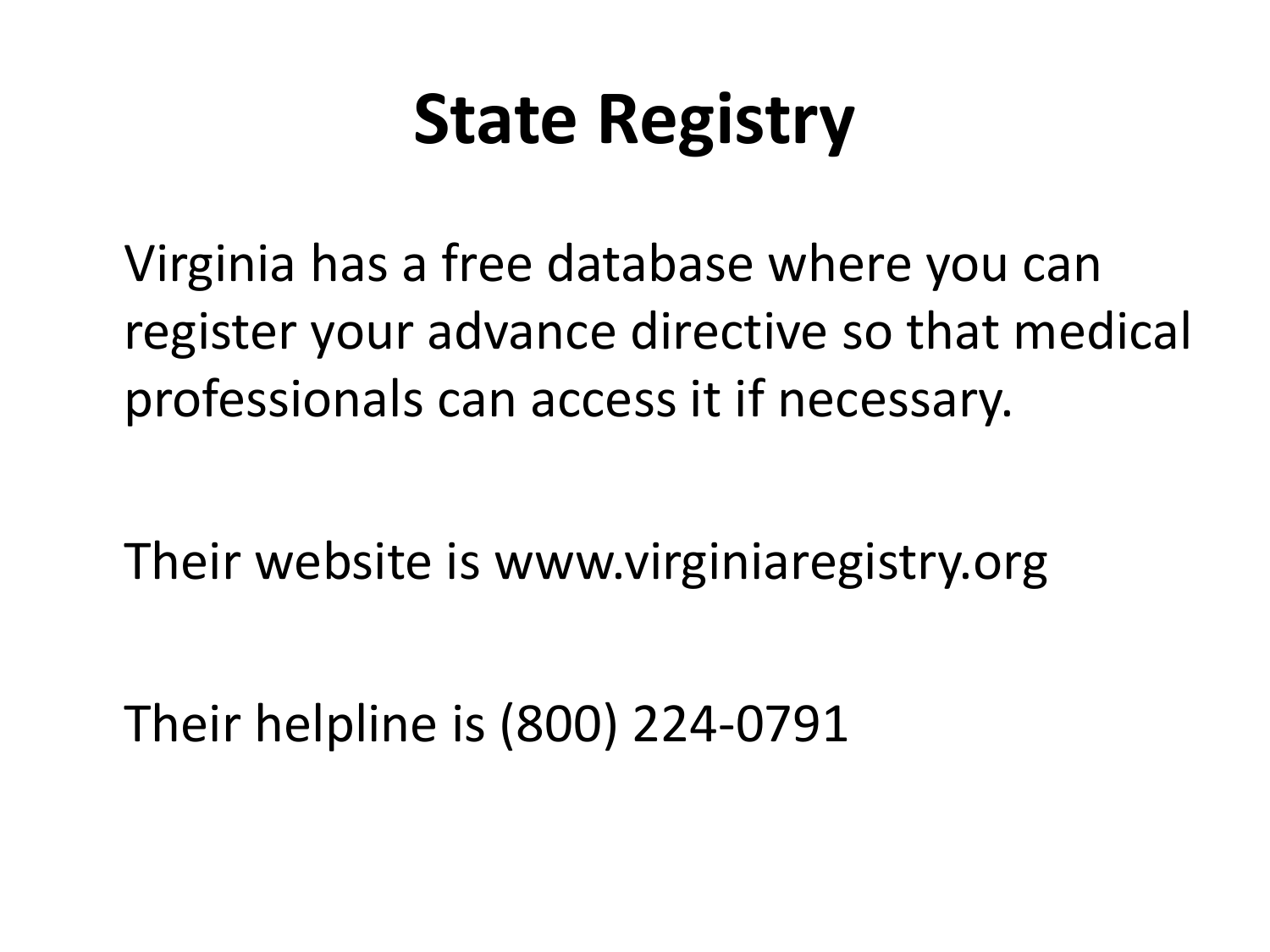#### **State Registry**

Virginia has a free database where you can register your advance directive so that medical professionals can access it if necessary.

Their website is www.virginiaregistry.org

Their helpline is (800) 224-0791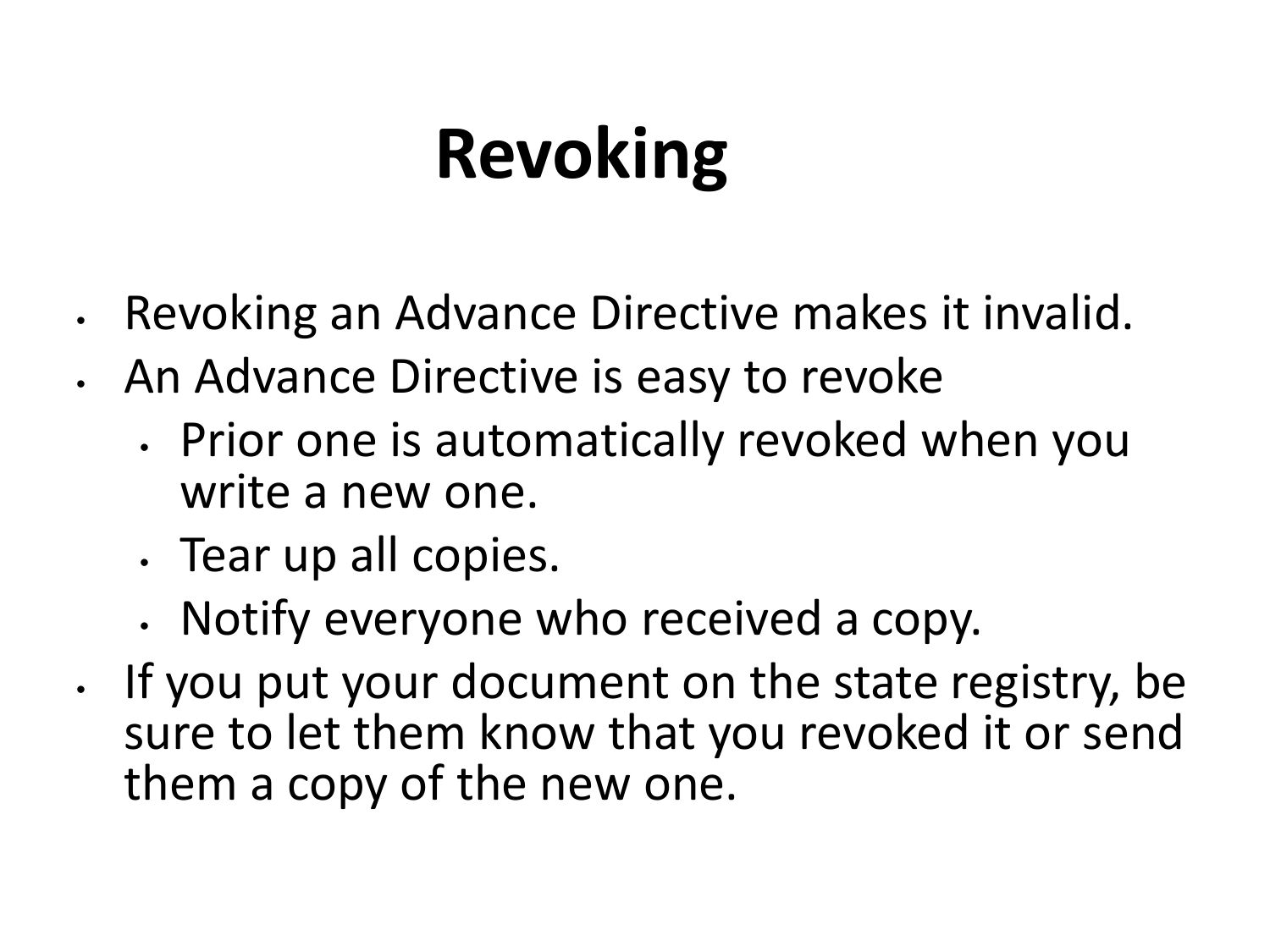## **Revoking**

- Revoking an Advance Directive makes it invalid.
- An Advance Directive is easy to revoke
	- Prior one is automatically revoked when you write a new one.
	- Tear up all copies.
	- Notify everyone who received a copy.
- If you put your document on the state registry, be sure to let them know that you revoked it or send them a copy of the new one.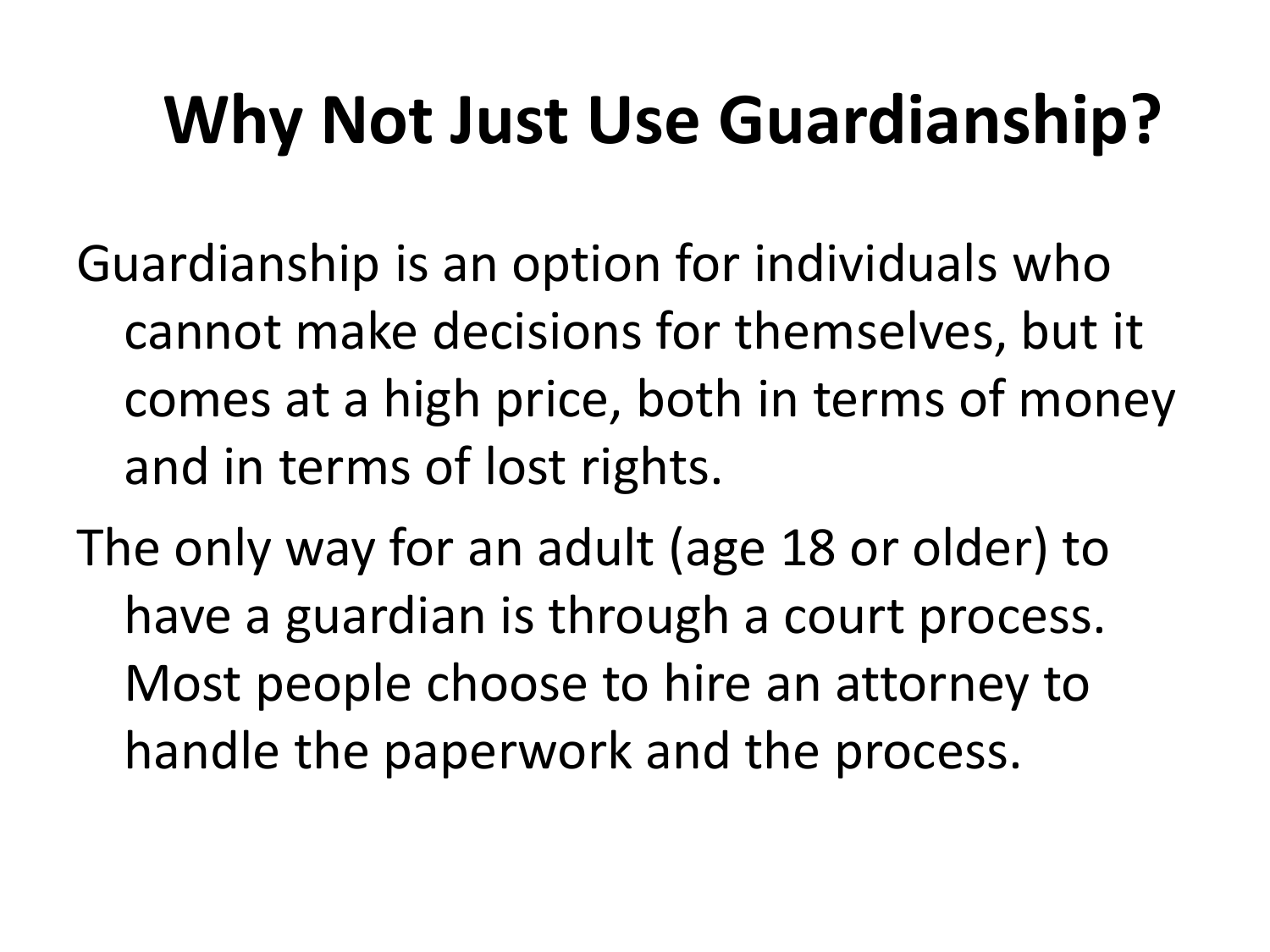#### **Why Not Just Use Guardianship?**

Guardianship is an option for individuals who cannot make decisions for themselves, but it comes at a high price, both in terms of money and in terms of lost rights.

The only way for an adult (age 18 or older) to have a guardian is through a court process. Most people choose to hire an attorney to handle the paperwork and the process.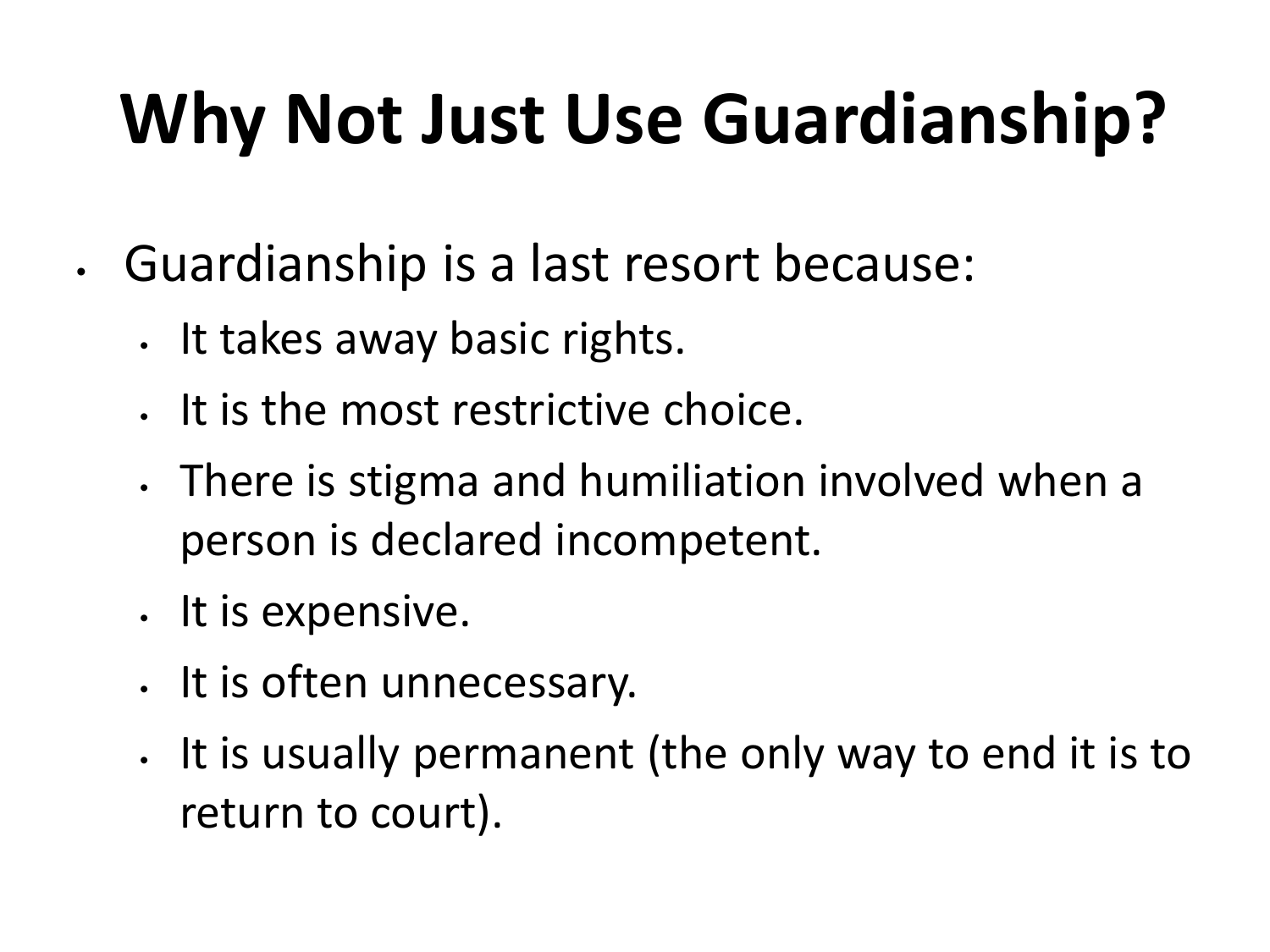## **Why Not Just Use Guardianship?**

- Guardianship is a last resort because:
	- It takes away basic rights.
	- It is the most restrictive choice.
	- There is stigma and humiliation involved when a person is declared incompetent.
	- It is expensive.
	- It is often unnecessary.
	- It is usually permanent (the only way to end it is to return to court).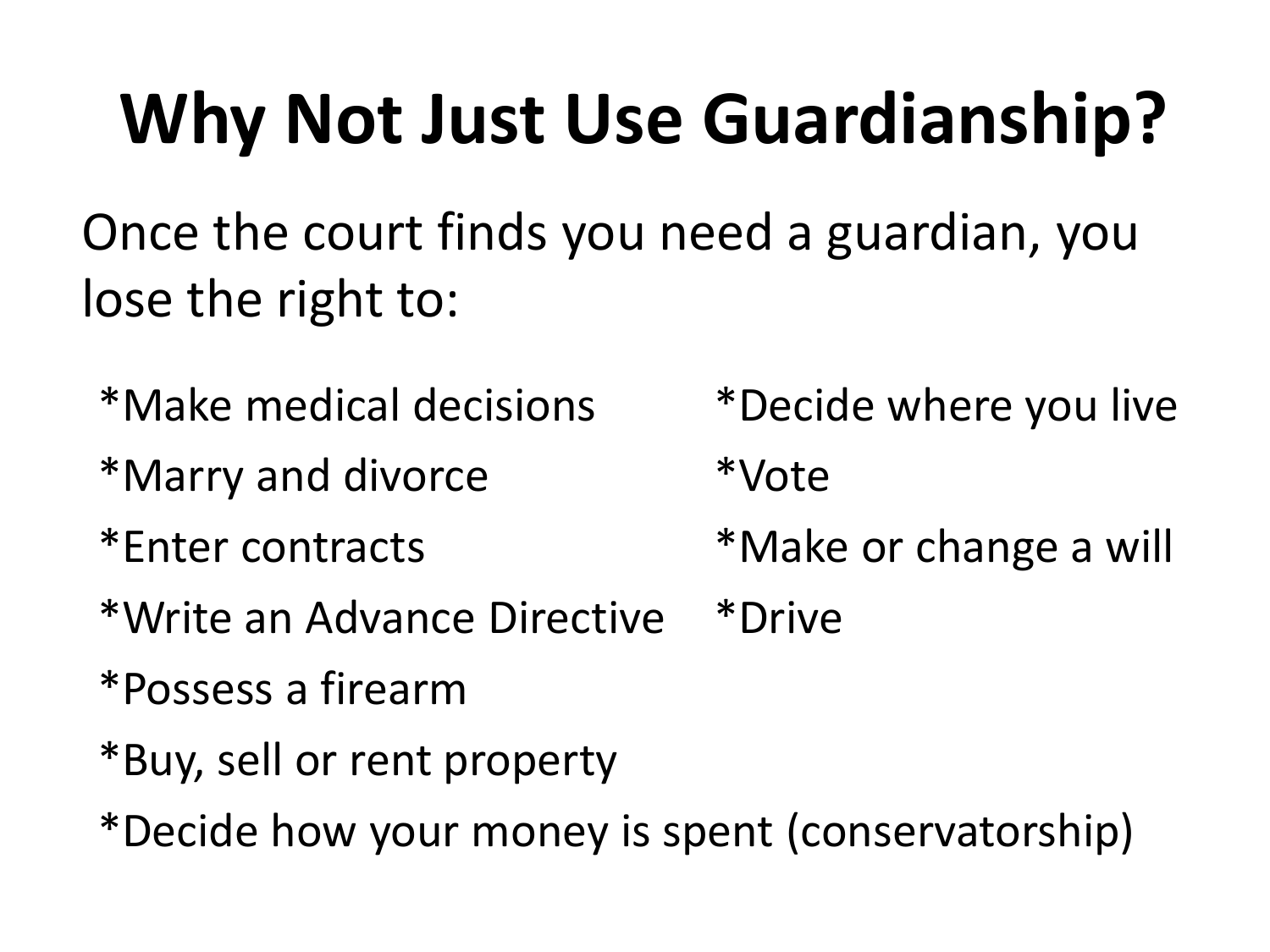## **Why Not Just Use Guardianship?**

Once the court finds you need a guardian, you lose the right to:

- \*Make medical decisions \*Decide where you live
- \*Marry and divorce \*Vote
- - \*Write an Advance Directive \*Drive
	- \*Possess a firearm
	- \*Buy, sell or rent property
	- \*Decide how your money is spent (conservatorship)

\*Enter contracts \*Make or change a will